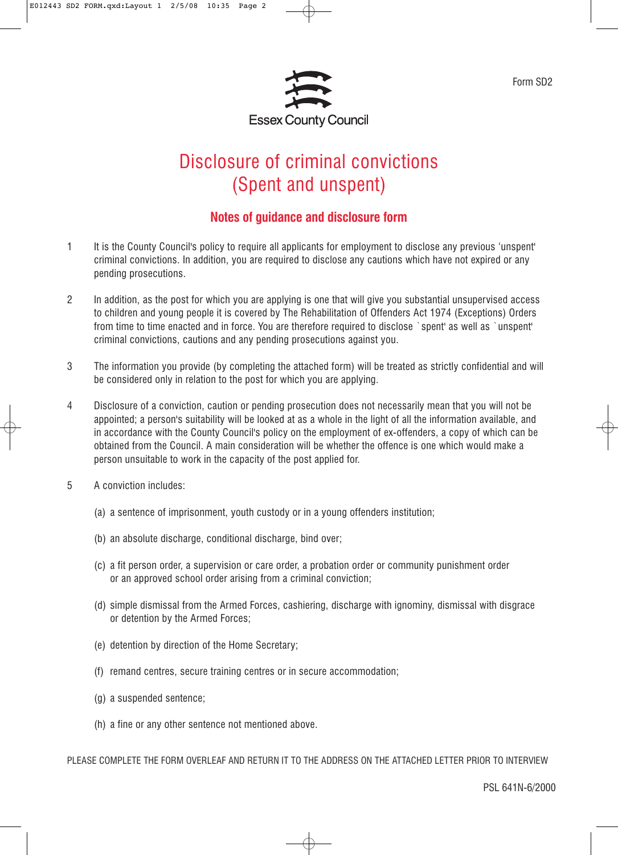

Form SD2

## Disclosure of criminal convictions (Spent and unspent)

## **Notes of guidance and disclosure form**

- 1 It is the County Council's policy to require all applicants for employment to disclose any previous 'unspent' criminal convictions. In addition, you are required to disclose any cautions which have not expired or any pending prosecutions.
- 2 In addition, as the post for which you are applying is one that will give you substantial unsupervised access to children and young people it is covered by The Rehabilitation of Offenders Act 1974 (Exceptions) Orders from time to time enacted and in force. You are therefore required to disclose `spent' as well as `unspent' criminal convictions, cautions and any pending prosecutions against you.
- 3 The information you provide (by completing the attached form) will be treated as strictly confidential and will be considered only in relation to the post for which you are applying.
- 4 Disclosure of a conviction, caution or pending prosecution does not necessarily mean that you will not be appointed; a person's suitability will be looked at as a whole in the light of all the information available, and in accordance with the County Council's policy on the employment of ex-offenders, a copy of which can be obtained from the Council. A main consideration will be whether the offence is one which would make a person unsuitable to work in the capacity of the post applied for.
- 5 A conviction includes:
	- (a) a sentence of imprisonment, youth custody or in a young offenders institution;
	- (b) an absolute discharge, conditional discharge, bind over;
	- (c) a fit person order, a supervision or care order, a probation order or community punishment order or an approved school order arising from a criminal conviction;
	- (d) simple dismissal from the Armed Forces, cashiering, discharge with ignominy, dismissal with disgrace or detention by the Armed Forces;
	- (e) detention by direction of the Home Secretary;
	- (f) remand centres, secure training centres or in secure accommodation;
	- (g) a suspended sentence;
	- (h) a fine or any other sentence not mentioned above.

PLEASE COMPLETE THE FORM OVERLEAF AND RETURN IT TO THE ADDRESS ON THE ATTACHED LETTER PRIOR TO INTERVIEW

PSL 641N-6/2000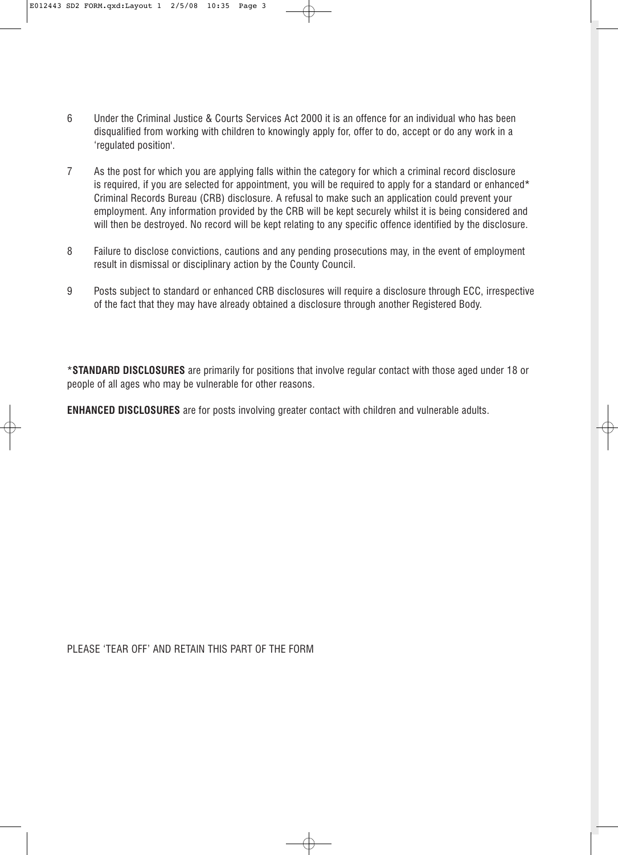- 6 Under the Criminal Justice & Courts Services Act 2000 it is an offence for an individual who has been disqualified from working with children to knowingly apply for, offer to do, accept or do any work in a 'regulated position'.
- 7 As the post for which you are applying falls within the category for which a criminal record disclosure is required, if you are selected for appointment, you will be required to apply for a standard or enhanced\* Criminal Records Bureau (CRB) disclosure. A refusal to make such an application could prevent your employment. Any information provided by the CRB will be kept securely whilst it is being considered and will then be destroyed. No record will be kept relating to any specific offence identified by the disclosure.
- 8 Failure to disclose convictions, cautions and any pending prosecutions may, in the event of employment result in dismissal or disciplinary action by the County Council.
- 9 Posts subject to standard or enhanced CRB disclosures will require a disclosure through ECC, irrespective of the fact that they may have already obtained a disclosure through another Registered Body.

\***STANDARD DISCLOSURES** are primarily for positions that involve regular contact with those aged under 18 or people of all ages who may be vulnerable for other reasons.

**ENHANCED DISCLOSURES** are for posts involving greater contact with children and vulnerable adults.

PLEASE 'TEAR OFF' AND RETAIN THIS PART OF THE FORM